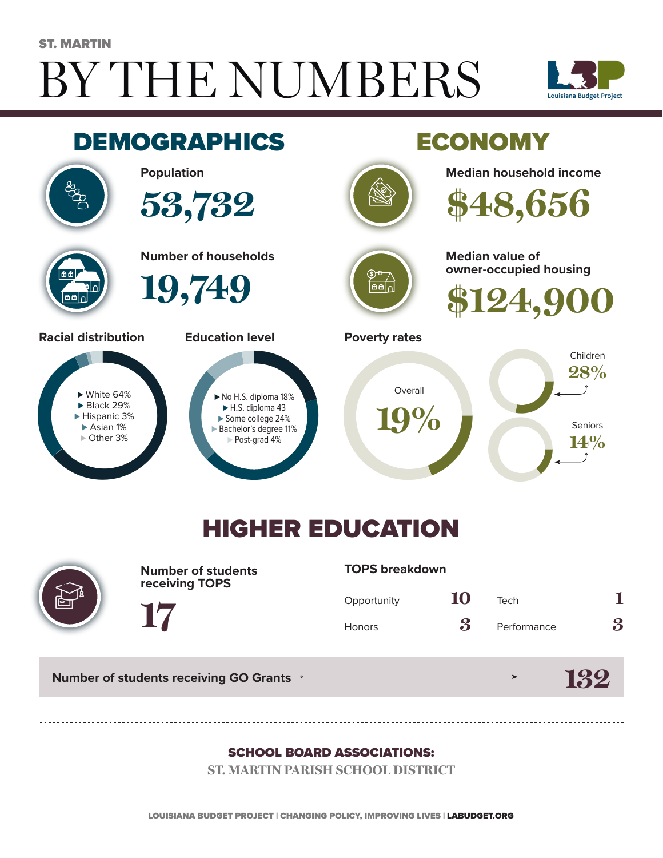# BY THE NUMBERS ST. MARTIN





## HIGHER EDUCATION



**Number of students receiving TOPS**

#### **TOPS breakdown**

| Opportunity   | 10 | Tech        |   |
|---------------|----|-------------|---|
| <b>Honors</b> | 3  | Performance | 3 |

**132**

**Number of students receiving GO Grants**

**17**

#### SCHOOL BOARD ASSOCIATIONS:

**ST. MARTIN PARISH SCHOOL DISTRICT**

LOUISIANA BUDGET PROJECT | CHANGING POLICY, IMPROVING LIVES | LABUDGET.ORG